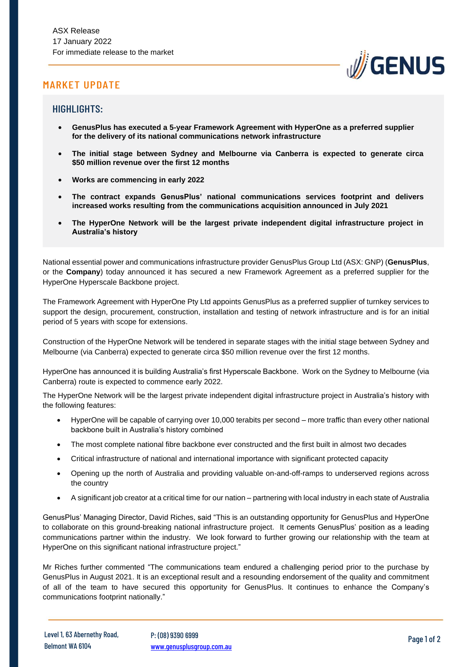## MARKET UPDATE



### HIGHLIGHTS:

- **GenusPlus has executed a 5-year Framework Agreement with HyperOne as a preferred supplier for the delivery of its national communications network infrastructure**
- **The initial stage between Sydney and Melbourne via Canberra is expected to generate circa \$50 million revenue over the first 12 months**
- **Works are commencing in early 2022**
- **The contract expands GenusPlus' national communications services footprint and delivers increased works resulting from the communications acquisition announced in July 2021**
- **The HyperOne Network will be the largest private independent digital infrastructure project in Australia's history**

National essential power and communications infrastructure provider GenusPlus Group Ltd (ASX: GNP) (**GenusPlus**, or the **Company**) today announced it has secured a new Framework Agreement as a preferred supplier for the HyperOne Hyperscale Backbone project.

The Framework Agreement with HyperOne Pty Ltd appoints GenusPlus as a preferred supplier of turnkey services to support the design, procurement, construction, installation and testing of network infrastructure and is for an initial period of 5 years with scope for extensions.

Construction of the HyperOne Network will be tendered in separate stages with the initial stage between Sydney and Melbourne (via Canberra) expected to generate circa \$50 million revenue over the first 12 months.

HyperOne has announced it is building Australia's first Hyperscale Backbone. Work on the Sydney to Melbourne (via Canberra) route is expected to commence early 2022.

The HyperOne Network will be the largest private independent digital infrastructure project in Australia's history with the following features:

- HyperOne will be capable of carrying over 10,000 terabits per second more traffic than every other national backbone built in Australia's history combined
- The most complete national fibre backbone ever constructed and the first built in almost two decades
- Critical infrastructure of national and international importance with significant protected capacity
- Opening up the north of Australia and providing valuable on-and-off-ramps to underserved regions across the country
- A significant job creator at a critical time for our nation partnering with local industry in each state of Australia

GenusPlus' Managing Director, David Riches, said "This is an outstanding opportunity for GenusPlus and HyperOne to collaborate on this ground-breaking national infrastructure project. It cements GenusPlus' position as a leading communications partner within the industry. We look forward to further growing our relationship with the team at HyperOne on this significant national infrastructure project."

Mr Riches further commented "The communications team endured a challenging period prior to the purchase by GenusPlus in August 2021. It is an exceptional result and a resounding endorsement of the quality and commitment of all of the team to have secured this opportunity for GenusPlus. It continues to enhance the Company's communications footprint nationally."